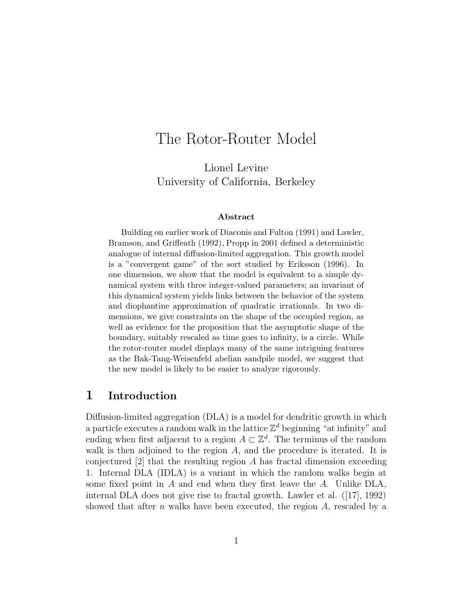# The Rotor-Router Model

Lionel Levine University of California, Berkeley

#### Abstract

Building on earlier work of Diaconis and Fulton (1991) and Lawler, Bramson, and Griffeath (1992), Propp in 2001 defined a deterministic analogue of internal diffusion-limited aggregation. This growth model is a "convergent game" of the sort studied by Eriksson (1996). In one dimension, we show that the model is equivalent to a simple dynamical system with three integer-valued parameters; an invariant of this dynamical system yields links between the behavior of the system and diophantine approximation of quadratic irrationals. In two dimensions, we give constraints on the shape of the occupied region, as well as evidence for the proposition that the asymptotic shape of the boundary, suitably rescaled as time goes to infinity, is a circle. While the rotor-router model displays many of the same intriguing features as the Bak-Tang-Weisenfeld abelian sandpile model, we suggest that the new model is likely to be easier to analyze rigorously.

## 1 Introduction

Diffusion-limited aggregation (DLA) is a model for dendritic growth in which a particle executes a random walk in the lattice  $\mathbb{Z}^d$  beginning "at infinity" and ending when first adjacent to a region  $A \subset \mathbb{Z}^d$ . The terminus of the random walk is then adjoined to the region  $A$ , and the procedure is iterated. It is conjectured  $[2]$  that the resulting region A has fractal dimension exceeding 1. Internal DLA (IDLA) is a variant in which the random walks begin at some fixed point in  $A$  and end when they first leave the  $A$ . Unlike DLA, internal DLA does not give rise to fractal growth. Lawler et al. ([17], 1992) showed that after  $n$  walks have been executed, the region  $A$ , rescaled by a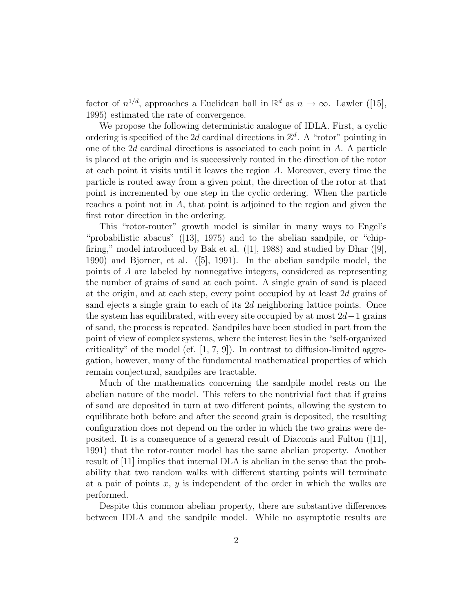factor of  $n^{1/d}$ , approaches a Euclidean ball in  $\mathbb{R}^d$  as  $n \to \infty$ . Lawler ([15], 1995) estimated the rate of convergence.

We propose the following deterministic analogue of IDLA. First, a cyclic ordering is specified of the 2d cardinal directions in  $\mathbb{Z}^d$ . A "rotor" pointing in one of the 2d cardinal directions is associated to each point in A. A particle is placed at the origin and is successively routed in the direction of the rotor at each point it visits until it leaves the region A. Moreover, every time the particle is routed away from a given point, the direction of the rotor at that point is incremented by one step in the cyclic ordering. When the particle reaches a point not in A, that point is adjoined to the region and given the first rotor direction in the ordering.

This "rotor-router" growth model is similar in many ways to Engel's "probabilistic abacus" ([13], 1975) and to the abelian sandpile, or "chipfiring," model introduced by Bak et al.  $([1], 1988)$  and studied by Dhar  $([9],$ 1990) and Bjorner, et al. ([5], 1991). In the abelian sandpile model, the points of A are labeled by nonnegative integers, considered as representing the number of grains of sand at each point. A single grain of sand is placed at the origin, and at each step, every point occupied by at least 2d grains of sand ejects a single grain to each of its 2d neighboring lattice points. Once the system has equilibrated, with every site occupied by at most  $2d-1$  grains of sand, the process is repeated. Sandpiles have been studied in part from the point of view of complex systems, where the interest lies in the "self-organized criticality" of the model (cf.  $[1, 7, 9]$ ). In contrast to diffusion-limited aggregation, however, many of the fundamental mathematical properties of which remain conjectural, sandpiles are tractable.

Much of the mathematics concerning the sandpile model rests on the abelian nature of the model. This refers to the nontrivial fact that if grains of sand are deposited in turn at two different points, allowing the system to equilibrate both before and after the second grain is deposited, the resulting configuration does not depend on the order in which the two grains were deposited. It is a consequence of a general result of Diaconis and Fulton ([11], 1991) that the rotor-router model has the same abelian property. Another result of [11] implies that internal DLA is abelian in the sense that the probability that two random walks with different starting points will terminate at a pair of points  $x, y$  is independent of the order in which the walks are performed.

Despite this common abelian property, there are substantive differences between IDLA and the sandpile model. While no asymptotic results are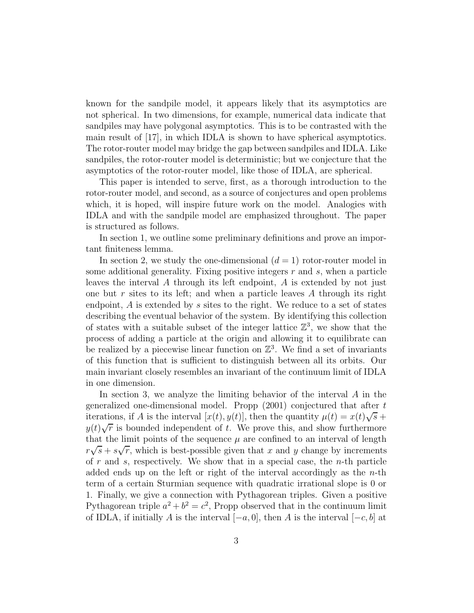known for the sandpile model, it appears likely that its asymptotics are not spherical. In two dimensions, for example, numerical data indicate that sandpiles may have polygonal asymptotics. This is to be contrasted with the main result of [17], in which IDLA is shown to have spherical asymptotics. The rotor-router model may bridge the gap between sandpiles and IDLA. Like sandpiles, the rotor-router model is deterministic; but we conjecture that the asymptotics of the rotor-router model, like those of IDLA, are spherical.

This paper is intended to serve, first, as a thorough introduction to the rotor-router model, and second, as a source of conjectures and open problems which, it is hoped, will inspire future work on the model. Analogies with IDLA and with the sandpile model are emphasized throughout. The paper is structured as follows.

In section 1, we outline some preliminary definitions and prove an important finiteness lemma.

In section 2, we study the one-dimensional  $(d = 1)$  rotor-router model in some additional generality. Fixing positive integers  $r$  and  $s$ , when a particle leaves the interval A through its left endpoint, A is extended by not just one but r sites to its left; and when a particle leaves A through its right endpoint, A is extended by s sites to the right. We reduce to a set of states describing the eventual behavior of the system. By identifying this collection of states with a suitable subset of the integer lattice  $\mathbb{Z}^3$ , we show that the process of adding a particle at the origin and allowing it to equilibrate can be realized by a piecewise linear function on  $\mathbb{Z}^3$ . We find a set of invariants of this function that is sufficient to distinguish between all its orbits. Our main invariant closely resembles an invariant of the continuum limit of IDLA in one dimension.

In section 3, we analyze the limiting behavior of the interval A in the generalized one-dimensional model. Propp (2001) conjectured that after t iterations, if A is the interval  $[x(t), y(t)]$ , then the quantity  $\mu(t) = x(t)\sqrt{s} +$  $y(t)\sqrt{r}$  is bounded independent of t. We prove this, and show furthermore that the limit points of the sequence  $\mu$  are confined to an interval of length  $r\sqrt{s} + s\sqrt{r}$ , which is best-possible given that x and y change by increments of  $r$  and  $s$ , respectively. We show that in a special case, the  $n$ -th particle added ends up on the left or right of the interval accordingly as the  $n$ -th term of a certain Sturmian sequence with quadratic irrational slope is 0 or 1. Finally, we give a connection with Pythagorean triples. Given a positive Pythagorean triple  $a^2 + b^2 = c^2$ , Propp observed that in the continuum limit of IDLA, if initially A is the interval  $[-a, 0]$ , then A is the interval  $[-c, b]$  at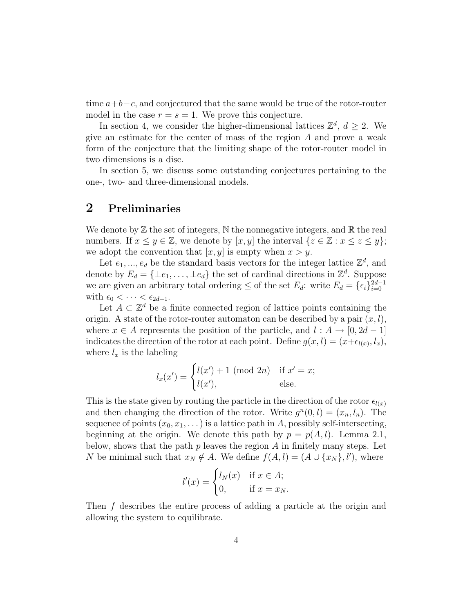time  $a+b-c$ , and conjectured that the same would be true of the rotor-router model in the case  $r = s = 1$ . We prove this conjecture.

In section 4, we consider the higher-dimensional lattices  $\mathbb{Z}^d$ ,  $d \geq 2$ . We give an estimate for the center of mass of the region A and prove a weak form of the conjecture that the limiting shape of the rotor-router model in two dimensions is a disc.

In section 5, we discuss some outstanding conjectures pertaining to the one-, two- and three-dimensional models.

## 2 Preliminaries

We denote by  $\mathbb Z$  the set of integers,  $\mathbb N$  the nonnegative integers, and  $\mathbb R$  the real numbers. If  $x \leq y \in \mathbb{Z}$ , we denote by  $[x, y]$  the interval  $\{z \in \mathbb{Z} : x \leq z \leq y\}$ ; we adopt the convention that  $[x, y]$  is empty when  $x > y$ .

Let  $e_1, ..., e_d$  be the standard basis vectors for the integer lattice  $\mathbb{Z}^d$ , and denote by  $E_d = \{\pm e_1, \ldots, \pm e_d\}$  the set of cardinal directions in  $\mathbb{Z}^d$ . Suppose we are given an arbitrary total ordering  $\leq$  of the set  $E_d$ : write  $E_d = \{\epsilon_i\}_{i=0}^{2d-1}$ with  $\epsilon_0 < \cdots < \epsilon_{2d-1}$ .

Let  $A \subset \mathbb{Z}^d$  be a finite connected region of lattice points containing the origin. A state of the rotor-router automaton can be described by a pair  $(x, l)$ , where  $x \in A$  represents the position of the particle, and  $l : A \rightarrow [0, 2d - 1]$ indicates the direction of the rotor at each point. Define  $g(x, l) = (x + \epsilon_{l(x)}, l_x)$ , where  $l_x$  is the labeling

$$
l_x(x') = \begin{cases} l(x') + 1 \pmod{2n} & \text{if } x' = x; \\ l(x'), & \text{else.} \end{cases}
$$

This is the state given by routing the particle in the direction of the rotor  $\epsilon_{l(x)}$ and then changing the direction of the rotor. Write  $g^{n}(0, l) = (x_n, l_n)$ . The sequence of points  $(x_0, x_1, \dots)$  is a lattice path in A, possibly self-intersecting, beginning at the origin. We denote this path by  $p = p(A, l)$ . Lemma 2.1, below, shows that the path  $p$  leaves the region  $A$  in finitely many steps. Let N be minimal such that  $x_N \notin A$ . We define  $f(A, l) = (A \cup \{x_N\}, l')$ , where

$$
l'(x) = \begin{cases} l_N(x) & \text{if } x \in A; \\ 0, & \text{if } x = x_N. \end{cases}
$$

Then f describes the entire process of adding a particle at the origin and allowing the system to equilibrate.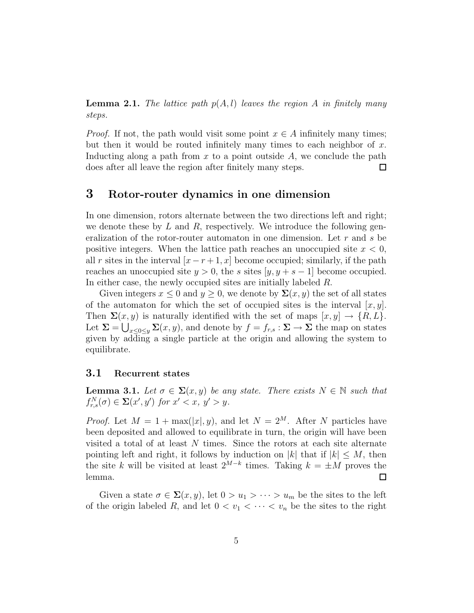**Lemma 2.1.** The lattice path  $p(A, l)$  leaves the region A in finitely many steps.

*Proof.* If not, the path would visit some point  $x \in A$  infinitely many times; but then it would be routed infinitely many times to each neighbor of  $x$ . Inducting along a path from  $x$  to a point outside  $A$ , we conclude the path does after all leave the region after finitely many steps.  $\Box$ 

## 3 Rotor-router dynamics in one dimension

In one dimension, rotors alternate between the two directions left and right; we denote these by  $L$  and  $R$ , respectively. We introduce the following generalization of the rotor-router automaton in one dimension. Let r and s be positive integers. When the lattice path reaches an unoccupied site  $x < 0$ , all r sites in the interval  $[x - r + 1, x]$  become occupied; similarly, if the path reaches an unoccupied site  $y > 0$ , the s sites  $[y, y + s - 1]$  become occupied. In either case, the newly occupied sites are initially labeled R.

Given integers  $x \leq 0$  and  $y \geq 0$ , we denote by  $\Sigma(x, y)$  the set of all states of the automaton for which the set of occupied sites is the interval  $[x, y]$ . Then  $\Sigma(x, y)$  is naturally identified with the set of maps  $[x, y] \rightarrow \{R, L\}.$ Let  $\Sigma = \bigcup_{x \leq 0 \leq y} \Sigma(x, y)$ , and denote by  $f = f_{r,s} : \Sigma \to \Sigma$  the map on states given by adding a single particle at the origin and allowing the system to equilibrate.

#### 3.1 Recurrent states

**Lemma 3.1.** Let  $\sigma \in \Sigma(x, y)$  be any state. There exists  $N \in \mathbb{N}$  such that  $f_{r,s}^N(\sigma) \in \Sigma(x',y')$  for  $x' < x$ ,  $y' > y$ .

*Proof.* Let  $M = 1 + \max(|x|, y)$ , and let  $N = 2^M$ . After N particles have been deposited and allowed to equilibrate in turn, the origin will have been visited a total of at least N times. Since the rotors at each site alternate pointing left and right, it follows by induction on |k| that if  $|k| \leq M$ , then the site k will be visited at least  $2^{M-k}$  times. Taking  $k = \pm M$  proves the lemma.

Given a state  $\sigma \in \Sigma(x, y)$ , let  $0 > u_1 > \cdots > u_m$  be the sites to the left of the origin labeled R, and let  $0 < v_1 < \cdots < v_n$  be the sites to the right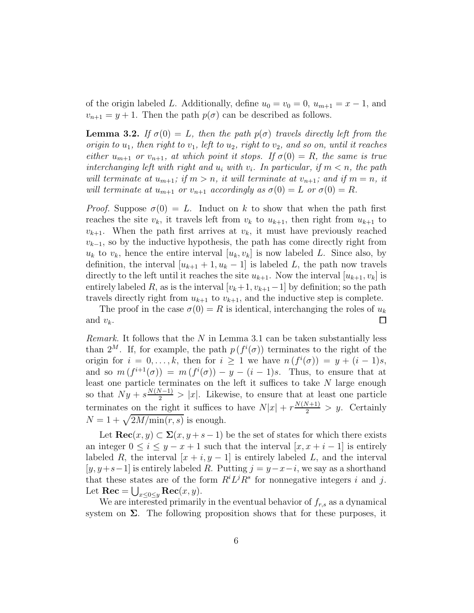of the origin labeled L. Additionally, define  $u_0 = v_0 = 0$ ,  $u_{m+1} = x - 1$ , and  $v_{n+1} = y + 1$ . Then the path  $p(\sigma)$  can be described as follows.

**Lemma 3.2.** If  $\sigma(0) = L$ , then the path  $p(\sigma)$  travels directly left from the origin to  $u_1$ , then right to  $v_1$ , left to  $u_2$ , right to  $v_2$ , and so on, until it reaches either  $u_{m+1}$  or  $v_{n+1}$ , at which point it stops. If  $\sigma(0) = R$ , the same is true interchanging left with right and  $u_i$  with  $v_i$ . In particular, if  $m < n$ , the path will terminate at  $u_{m+1}$ ; if  $m > n$ , it will terminate at  $v_{n+1}$ ; and if  $m = n$ , it will terminate at  $u_{m+1}$  or  $v_{n+1}$  accordingly as  $\sigma(0) = L$  or  $\sigma(0) = R$ .

*Proof.* Suppose  $\sigma(0) = L$ . Induct on k to show that when the path first reaches the site  $v_k$ , it travels left from  $v_k$  to  $u_{k+1}$ , then right from  $u_{k+1}$  to  $v_{k+1}$ . When the path first arrives at  $v_k$ , it must have previously reached  $v_{k-1}$ , so by the inductive hypothesis, the path has come directly right from  $u_k$  to  $v_k$ , hence the entire interval  $[u_k, v_k]$  is now labeled L. Since also, by definition, the interval  $[u_{k+1} + 1, u_k - 1]$  is labeled L, the path now travels directly to the left until it reaches the site  $u_{k+1}$ . Now the interval  $[u_{k+1}, v_k]$  is entirely labeled R, as is the interval  $[v_k+1, v_{k+1}-1]$  by definition; so the path travels directly right from  $u_{k+1}$  to  $v_{k+1}$ , and the inductive step is complete.

The proof in the case  $\sigma(0) = R$  is identical, interchanging the roles of  $u_k$ and  $v_k$ .  $\Box$ 

*Remark.* It follows that the  $N$  in Lemma 3.1 can be taken substantially less than  $2^M$ . If, for example, the path  $p(f^i(\sigma))$  terminates to the right of the origin for  $i = 0, \ldots, k$ , then for  $i \ge 1$  we have  $n(f^{i}(\sigma)) = y + (i - 1)s$ , and so  $m(f^{i+1}(\sigma)) = m(f^i(\sigma)) - y - (i-1)s$ . Thus, to ensure that at least one particle terminates on the left it suffices to take  $N$  large enough so that  $Ny + s\frac{N(N-1)}{2} > |x|$ . Likewise, to ensure that at least one particle terminates <u>on the right</u> it suffices to have  $N|x| + r \frac{N(N+1)}{2} > y$ . Certainly  $N = 1 + \sqrt{2M/\text{min}(r, s)}$  is enough.

Let  $\text{Rec}(x, y) \subset \Sigma(x, y+s-1)$  be the set of states for which there exists an integer  $0 \leq i \leq y - x + 1$  such that the interval  $[x, x + i - 1]$  is entirely labeled R, the interval  $[x + i, y - 1]$  is entirely labeled L, and the interval  $[y, y+s-1]$  is entirely labeled R. Putting  $j = y-x-i$ , we say as a shorthand that these states are of the form  $R^i L^j R^s$  for nonnegative integers i and j. Let  $\text{Rec} = \bigcup_{x \leq 0 \leq y} \text{Rec}(x, y).$ 

We are interested primarily in the eventual behavior of  $f_{r,s}$  as a dynamical system on  $\Sigma$ . The following proposition shows that for these purposes, it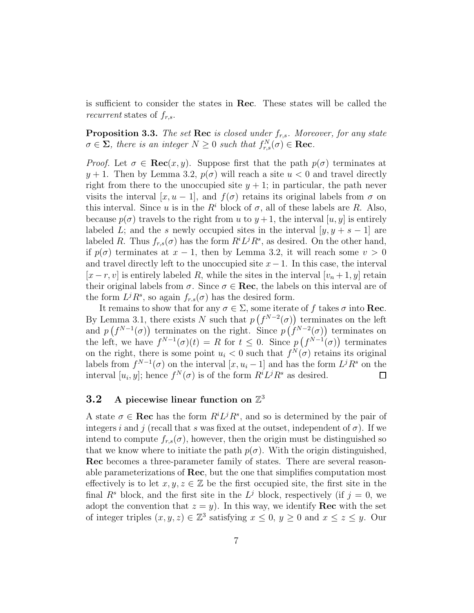is sufficient to consider the states in Rec. These states will be called the recurrent states of  $f_{r,s}$ .

**Proposition 3.3.** The set Rec is closed under  $f_{r,s}$ . Moreover, for any state  $\sigma \in \Sigma$ , there is an integer  $N \geq 0$  such that  $f_{r,s}^N(\sigma) \in \textbf{Rec}$ .

*Proof.* Let  $\sigma \in \text{Rec}(x, y)$ . Suppose first that the path  $p(\sigma)$  terminates at  $y + 1$ . Then by Lemma 3.2,  $p(\sigma)$  will reach a site  $u < 0$  and travel directly right from there to the unoccupied site  $y + 1$ ; in particular, the path never visits the interval  $[x, u - 1]$ , and  $f(\sigma)$  retains its original labels from  $\sigma$  on this interval. Since u is in the  $R<sup>i</sup>$  block of  $\sigma$ , all of these labels are R. Also, because  $p(\sigma)$  travels to the right from u to  $y+1$ , the interval [u, y] is entirely labeled L; and the s newly occupied sites in the interval  $[y, y + s - 1]$  are labeled R. Thus  $f_{r,s}(\sigma)$  has the form  $R^i L^j R^s$ , as desired. On the other hand, if  $p(\sigma)$  terminates at  $x - 1$ , then by Lemma 3.2, it will reach some  $v > 0$ and travel directly left to the unoccupied site  $x-1$ . In this case, the interval  $[x - r, v]$  is entirely labeled R, while the sites in the interval  $[v_n + 1, y]$  retain their original labels from  $\sigma$ . Since  $\sigma \in \textbf{Rec}$ , the labels on this interval are of the form  $L^j R^s$ , so again  $f_{r,s}(\sigma)$  has the desired form.

It remains to show that for any  $\sigma \in \Sigma$ , some iterate of f takes  $\sigma$  into **Rec**. By Lemma 3.1, there exists N such that  $p(f^{N-2}(\sigma))$  terminates on the left and  $p(f^{N-1}(\sigma))$  terminates on the right. Since  $p(f^{N-2}(\sigma))$  terminates on the left, we have  $f^{N-1}(\sigma)(t) = R$  for  $t \leq 0$ . Since  $p(f^{N-1}(\sigma))$  terminates on the right, there is some point  $u_i < 0$  such that  $f^N(\sigma)$  retains its original labels from  $f^{N-1}(\sigma)$  on the interval  $[x, u_i - 1]$  and has the form  $L^j R^s$  on the interval  $[u_i, y]$ ; hence  $f^N(\sigma)$  is of the form  $R^i L^j R^s$  as desired.  $\Box$ 

## 3.2 A piecewise linear function on  $\mathbb{Z}^3$

A state  $\sigma \in \textbf{Rec}$  has the form  $R^i L^j R^s$ , and so is determined by the pair of integers i and j (recall that s was fixed at the outset, independent of  $\sigma$ ). If we intend to compute  $f_{r,s}(\sigma)$ , however, then the origin must be distinguished so that we know where to initiate the path  $p(\sigma)$ . With the origin distinguished, Rec becomes a three-parameter family of states. There are several reasonable parameterizations of Rec, but the one that simplifies computation most effectively is to let  $x, y, z \in \mathbb{Z}$  be the first occupied site, the first site in the final  $R^s$  block, and the first site in the  $L^j$  block, respectively (if  $j = 0$ , we adopt the convention that  $z = y$ ). In this way, we identify **Rec** with the set of integer triples  $(x, y, z) \in \mathbb{Z}^3$  satisfying  $x \leq 0$ ,  $y \geq 0$  and  $x \leq z \leq y$ . Our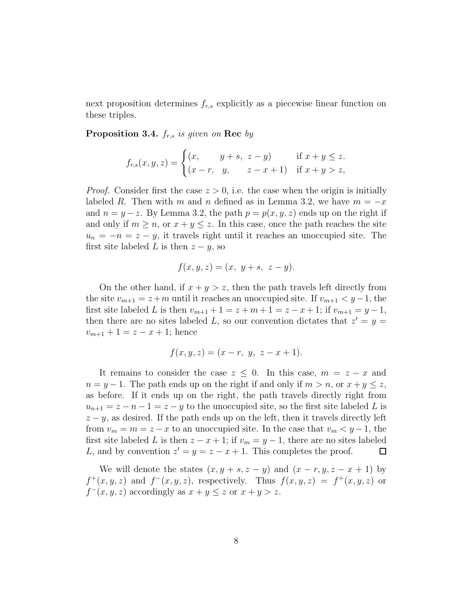next proposition determines  $f_{r,s}$  explicitly as a piecewise linear function on these triples.

**Proposition 3.4.**  $f_{r,s}$  is given on **Rec** by

$$
f_{r,s}(x, y, z) = \begin{cases} (x, & y+s, \ z-y) & \text{if } x+y \leq z. \\ (x-r, & y, & z-x+1) & \text{if } x+y > z, \end{cases}
$$

*Proof.* Consider first the case  $z > 0$ , i.e. the case when the origin is initially labeled R. Then with m and n defined as in Lemma 3.2, we have  $m = -x$ and  $n = y - z$ . By Lemma 3.2, the path  $p = p(x, y, z)$  ends up on the right if and only if  $m \ge n$ , or  $x + y \le z$ . In this case, once the path reaches the site  $u_n = -n = z - y$ , it travels right until it reaches an unoccupied site. The first site labeled L is then  $z - y$ , so

$$
f(x, y, z) = (x, y + s, z - y).
$$

On the other hand, if  $x + y > z$ , then the path travels left directly from the site  $v_{m+1} = z+m$  until it reaches an unoccupied site. If  $v_{m+1} < y-1$ , the first site labeled L is then  $v_{m+1} + 1 = z + m + 1 = z - x + 1$ ; if  $v_{m+1} = y - 1$ , then there are no sites labeled L, so our convention dictates that  $z' = y =$  $v_{m+1} + 1 = z - x + 1$ ; hence

$$
f(x, y, z) = (x - r, y, z - x + 1).
$$

It remains to consider the case  $z \leq 0$ . In this case,  $m = z - x$  and  $n = y - 1$ . The path ends up on the right if and only if  $m > n$ , or  $x + y \le z$ , as before. If it ends up on the right, the path travels directly right from  $u_{n+1} = z - n - 1 = z - y$  to the unoccupied site, so the first site labeled L is  $z - y$ , as desired. If the path ends up on the left, then it travels directly left from  $v_m = m = z - x$  to an unoccupied site. In the case that  $v_m < y - 1$ , the first site labeled L is then  $z - x + 1$ ; if  $v_m = y - 1$ , there are no sites labeled L, and by convention  $z' = y = z - x + 1$ . This completes the proof. L, and by convention  $z' = y = z - x + 1$ . This completes the proof.

We will denote the states  $(x, y + s, z - y)$  and  $(x - r, y, z - x + 1)$  by  $f^+(x,y,z)$  and  $f^-(x,y,z)$ , respectively. Thus  $f(x,y,z) = f^+(x,y,z)$  or  $f^-(x, y, z)$  accordingly as  $x + y \leq z$  or  $x + y > z$ .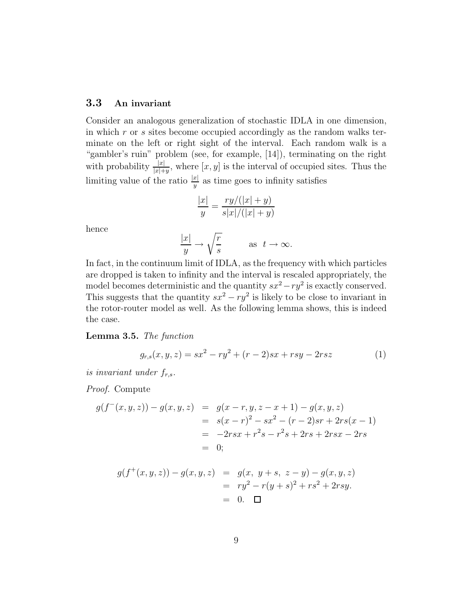## 3.3 An invariant

Consider an analogous generalization of stochastic IDLA in one dimension, in which r or s sites become occupied accordingly as the random walks terminate on the left or right sight of the interval. Each random walk is a "gambler's ruin" problem (see, for example, [14]), terminating on the right with probability  $\frac{|x|}{|x|+y}$ , where  $[x, y]$  is the interval of occupied sites. Thus the limiting value of the ratio  $\frac{|x|}{y}$  as time goes to infinity satisfies

$$
\frac{|x|}{y} = \frac{ry/(|x|+y)}{s|x|/(|x|+y)}
$$

hence

$$
\frac{|x|}{y} \to \sqrt{\frac{r}{s}} \quad \text{as } t \to \infty.
$$

In fact, in the continuum limit of IDLA, as the frequency with which particles are dropped is taken to infinity and the interval is rescaled appropriately, the model becomes deterministic and the quantity  $sx^2 - ry^2$  is exactly conserved. This suggests that the quantity  $sx^2 - ry^2$  is likely to be close to invariant in the rotor-router model as well. As the following lemma shows, this is indeed the case.

Lemma 3.5. The function

$$
g_{r,s}(x, y, z) = sx^2 - ry^2 + (r - 2)sx + rsy - 2rsz
$$
 (1)

is invariant under  $f_{r,s}$ .

Proof. Compute

$$
g(f^-(x,y,z)) - g(x,y,z) = g(x-r,y,z-x+1) - g(x,y,z)
$$
  
=  $s(x-r)^2 - sx^2 - (r-2)sr + 2rs(x-1)$   
=  $-2rsx + r^2s - r^2s + 2rs + 2rsx - 2rs$   
= 0;

$$
g(f^+(x, y, z)) - g(x, y, z) = g(x, y + s, z - y) - g(x, y, z)
$$
  
=  $ry^2 - r(y + s)^2 + rs^2 + 2rsy$ .  
= 0.  $\square$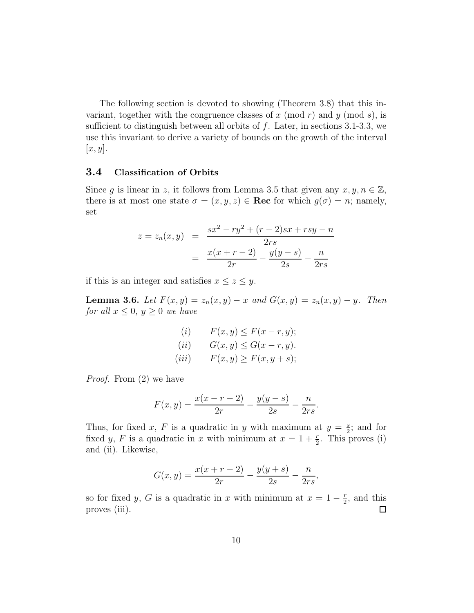The following section is devoted to showing (Theorem 3.8) that this invariant, together with the congruence classes of x (mod r) and y (mod s), is sufficient to distinguish between all orbits of  $f$ . Later, in sections 3.1-3.3, we use this invariant to derive a variety of bounds on the growth of the interval  $[x, y]$ .

### 3.4 Classification of Orbits

Since g is linear in z, it follows from Lemma 3.5 that given any  $x, y, n \in \mathbb{Z}$ , there is at most one state  $\sigma = (x, y, z) \in \text{Rec}$  for which  $g(\sigma) = n$ ; namely, set

$$
z = z_n(x, y) = \frac{sx^2 - ry^2 + (r - 2)sx + rsy - n}{2rs}
$$

$$
= \frac{x(x + r - 2)}{2r} - \frac{y(y - s)}{2s} - \frac{n}{2rs}
$$

if this is an integer and satisfies  $x \leq z \leq y$ .

**Lemma 3.6.** Let  $F(x, y) = z_n(x, y) - x$  and  $G(x, y) = z_n(x, y) - y$ . Then for all  $x \leq 0$ ,  $y \geq 0$  we have

$$
(i) \qquad F(x, y) \le F(x - r, y);
$$

$$
(ii) \qquad G(x, y) \le G(x - r, y).
$$

$$
(iii) \qquad F(x, y) \ge F(x, y + s);
$$

Proof. From (2) we have

$$
F(x,y) = \frac{x(x-r-2)}{2r} - \frac{y(y-s)}{2s} - \frac{n}{2rs}
$$

.

Thus, for fixed x, F is a quadratic in y with maximum at  $y = \frac{s}{2}$  $\frac{s}{2}$ ; and for fixed y, F is a quadratic in x with minimum at  $x = 1 + \frac{r}{2}$ . This proves (i) and (ii). Likewise,

$$
G(x,y) = \frac{x(x+r-2)}{2r} - \frac{y(y+s)}{2s} - \frac{n}{2rs},
$$

so for fixed y, G is a quadratic in x with minimum at  $x = 1 - \frac{r}{2}$  $\frac{r}{2}$ , and this proves (iii).  $\Box$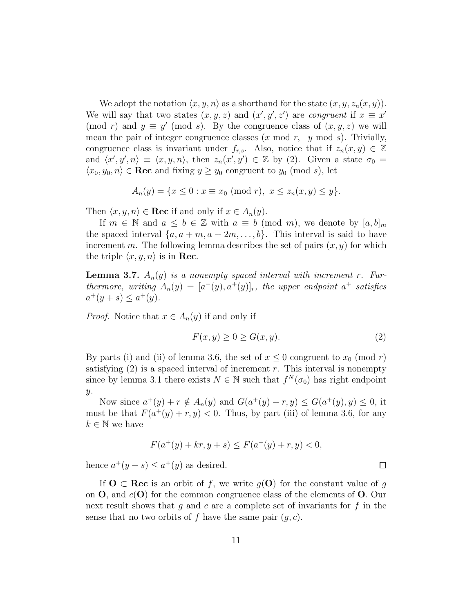We adopt the notation  $\langle x, y, n \rangle$  as a shorthand for the state  $(x, y, z_n(x, y))$ . We will say that two states  $(x, y, z)$  and  $(x', y', z')$  are congruent if  $x \equiv x'$ (mod r) and  $y \equiv y' \pmod{s}$ . By the congruence class of  $(x, y, z)$  we will mean the pair of integer congruence classes  $(x \mod r, y \mod s)$ . Trivially, congruence class is invariant under  $f_{r,s}$ . Also, notice that if  $z_n(x, y) \in \mathbb{Z}$ and  $\langle x', y', n \rangle \equiv \langle x, y, n \rangle$ , then  $z_n(x', y') \in \mathbb{Z}$  by (2). Given a state  $\sigma_0 =$  $\langle x_0, y_0, n \rangle \in \textbf{Rec}$  and fixing  $y \geq y_0$  congruent to  $y_0 \pmod{s}$ , let

$$
A_n(y) = \{ x \le 0 : x \equiv x_0 \pmod{r}, \ x \le z_n(x, y) \le y \}.
$$

Then  $\langle x, y, n \rangle \in \textbf{Rec}$  if and only if  $x \in A_n(y)$ .

If  $m \in \mathbb{N}$  and  $a \leq b \in \mathbb{Z}$  with  $a \equiv b \pmod{m}$ , we denote by  $[a, b]_m$ the spaced interval  $\{a, a+m, a+2m, \ldots, b\}$ . This interval is said to have increment m. The following lemma describes the set of pairs  $(x, y)$  for which the triple  $\langle x, y, n \rangle$  is in **Rec.** 

**Lemma 3.7.**  $A_n(y)$  is a nonempty spaced interval with increment r. Furthermore, writing  $A_n(y) = [a^-(y), a^+(y)]_r$ , the upper endpoint  $a^+$  satisfies  $a^+(y+s) \le a^+(y)$ .

*Proof.* Notice that  $x \in A_n(y)$  if and only if

$$
F(x, y) \ge 0 \ge G(x, y). \tag{2}
$$

By parts (i) and (ii) of lemma 3.6, the set of  $x \leq 0$  congruent to  $x_0 \pmod{r}$ satisfying  $(2)$  is a spaced interval of increment r. This interval is nonempty since by lemma 3.1 there exists  $N \in \mathbb{N}$  such that  $f^N(\sigma_0)$  has right endpoint  $y$ .

Now since  $a^+(y) + r \notin A_n(y)$  and  $G(a^+(y) + r, y) \le G(a^+(y), y) \le 0$ , it must be that  $F(a^+(y) + r, y) < 0$ . Thus, by part (iii) of lemma 3.6, for any  $k \in \mathbb{N}$  we have

$$
F(a^+(y) + kr, y + s) \le F(a^+(y) + r, y) < 0,
$$

hence  $a^+(y+s) \leq a^+(y)$  as desired.

If  $O \subset \text{Rec}$  is an orbit of f, we write  $g(O)$  for the constant value of g on  $\overline{O}$ , and  $c(O)$  for the common congruence class of the elements of  $\overline{O}$ . Our next result shows that  $g$  and  $c$  are a complete set of invariants for  $f$  in the sense that no two orbits of f have the same pair  $(g, c)$ .

 $\Box$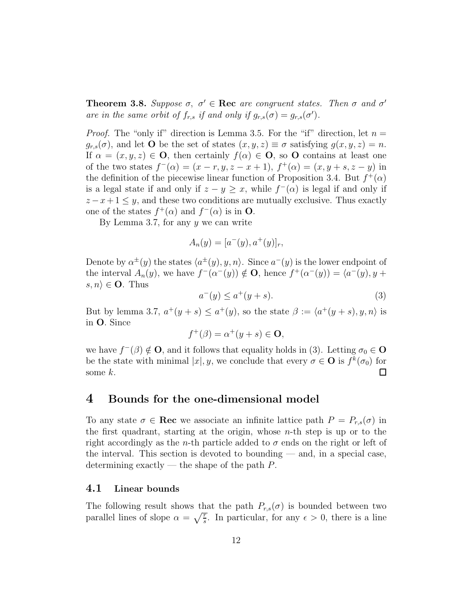**Theorem 3.8.** Suppose  $\sigma$ ,  $\sigma' \in \text{Rec}$  are congruent states. Then  $\sigma$  and  $\sigma'$ are in the same orbit of  $f_{r,s}$  if and only if  $g_{r,s}(\sigma) = g_{r,s}(\sigma')$ .

*Proof.* The "only if" direction is Lemma 3.5. For the "if" direction, let  $n =$  $g_{r,s}(\sigma)$ , and let **O** be the set of states  $(x, y, z) \equiv \sigma$  satisfying  $g(x, y, z) = n$ . If  $\alpha = (x, y, z) \in \mathbf{O}$ , then certainly  $f(\alpha) \in \mathbf{O}$ , so **O** contains at least one of the two states  $f^{-}(\alpha) = (x - r, y, z - x + 1), f^{+}(\alpha) = (x, y + s, z - y)$  in the definition of the piecewise linear function of Proposition 3.4. But  $f^+(\alpha)$ is a legal state if and only if  $z - y \geq x$ , while  $f^{-}(\alpha)$  is legal if and only if  $z - x + 1 \leq y$ , and these two conditions are mutually exclusive. Thus exactly one of the states  $f^+(\alpha)$  and  $f^-(\alpha)$  is in **O**.

By Lemma 3.7, for any  $y$  we can write

$$
A_n(y) = [a^-(y), a^+(y)]_r,
$$

Denote by  $\alpha^{\pm}(y)$  the states  $\langle a^{\pm}(y), y, n \rangle$ . Since  $a^-(y)$  is the lower endpoint of the interval  $A_n(y)$ , we have  $f^-(\alpha^-(y)) \notin \mathbf{O}$ , hence  $f^+(\alpha^-(y)) = \langle a^-(y), y +$  $s, n \rangle \in \mathbf{O}$ . Thus

$$
a^{-}(y) \le a^{+}(y+s).
$$
 (3)

But by lemma 3.7,  $a^+(y+s) \le a^+(y)$ , so the state  $\beta := \langle a^+(y+s), y, n \rangle$  is in O. Since

$$
f^+(\beta) = \alpha^+(y+s) \in \mathbf{O},
$$

we have  $f^-(\beta) \notin \mathbf{O}$ , and it follows that equality holds in (3). Letting  $\sigma_0 \in \mathbf{O}$ be the state with minimal  $|x|, y$ , we conclude that every  $\sigma \in \mathbf{O}$  is  $f^k(\sigma_0)$  for some  $k$ .  $\Box$ 

### 4 Bounds for the one-dimensional model

To any state  $\sigma \in \text{Rec}$  we associate an infinite lattice path  $P = P_{r,s}(\sigma)$  in the first quadrant, starting at the origin, whose  $n$ -th step is up or to the right accordingly as the *n*-th particle added to  $\sigma$  ends on the right or left of the interval. This section is devoted to bounding  $-$  and, in a special case, determining exactly — the shape of the path  $P$ .

#### 4.1 Linear bounds

The following result shows that the path  $P_{r,s}(\sigma)$  is bounded between two parallel lines of slope  $\alpha = \sqrt{\frac{r}{s}}$ . In particular, for any  $\epsilon > 0$ , there is a line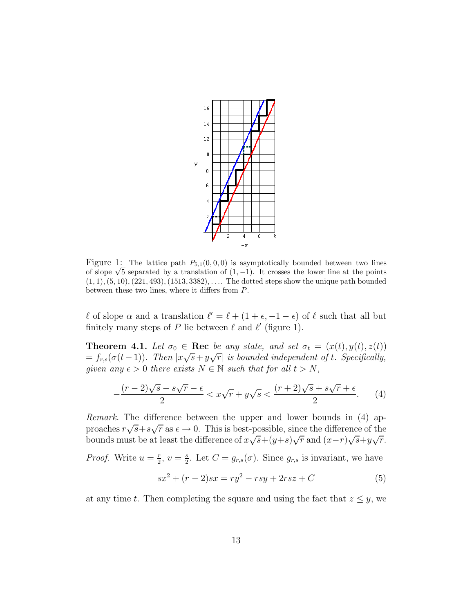

Figure 1: The lattice path  $P_{5,1}(0,0,0)$  is asymptotically bounded between two lines of slope  $\sqrt{5}$  separated by a translation of  $(1, -1)$ . It crosses the lower line at the points  $(1, 1), (5, 10), (221, 493), (1513, 3382), \ldots$  The dotted steps show the unique path bounded between these two lines, where it differs from P.

 $\ell$  of slope  $\alpha$  and a translation  $\ell' = \ell + (1 + \epsilon, -1 - \epsilon)$  of  $\ell$  such that all but finitely many steps of P lie between  $\ell$  and  $\ell'$  (figure 1).

**Theorem 4.1.** Let  $\sigma_0 \in \text{Rec}$  be any state, and set  $\sigma_t = (x(t), y(t), z(t))$  $= f_{r,s}(\sigma(t-1))$ . Then  $|x\sqrt{s}+y\sqrt{r}|$  is bounded independent of t. Specifically, given any  $\epsilon > 0$  there exists  $N \in \mathbb{N}$  such that for all  $t > N$ ,

$$
-\frac{(r-2)\sqrt{s}-s\sqrt{r}-\epsilon}{2} < x\sqrt{r} + y\sqrt{s} < \frac{(r+2)\sqrt{s}+s\sqrt{r}+\epsilon}{2}.\tag{4}
$$

Remark. The difference between the upper and lower bounds in (4) approaches  $r\sqrt{s}+s\sqrt{r}$  as  $\epsilon\to 0$ . This is best-possible, since the difference of the bounds must be at least the difference of  $x\sqrt{s}+(y+s)\sqrt{r}$  and  $(x-r)\sqrt{s}+y\sqrt{r}$ .

*Proof.* Write  $u = \frac{r}{2}$  $\frac{r}{2}, v = \frac{s}{2}$  $\frac{s}{2}$ . Let  $C = g_{r,s}(\sigma)$ . Since  $g_{r,s}$  is invariant, we have

$$
sx^{2} + (r - 2)sx = ry^{2} - rsy + 2rsz + C
$$
 (5)

at any time t. Then completing the square and using the fact that  $z \leq y$ , we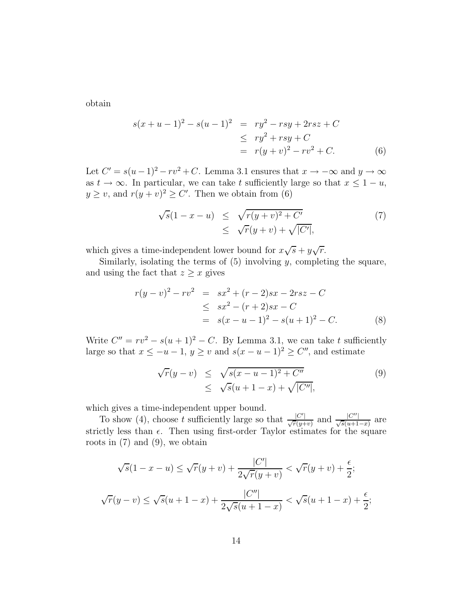obtain

$$
s(x + u - 1)^{2} - s(u - 1)^{2} = ry^{2} - rsy + 2rsz + C
$$
  
\n
$$
\leq ry^{2} + rsy + C
$$
  
\n
$$
= r(y + v)^{2} - rv^{2} + C.
$$
 (6)

Let  $C' = s(u-1)^2 - rv^2 + C$ . Lemma 3.1 ensures that  $x \to -\infty$  and  $y \to \infty$ as  $t \to \infty$ . In particular, we can take t sufficiently large so that  $x \leq 1 - u$ ,  $y \ge v$ , and  $r(y + v)^2 \ge C'$ . Then we obtain from (6)

$$
\sqrt{s}(1-x-u) \leq \sqrt{r(y+v)^2 + C'}
$$
  
 
$$
\leq \sqrt{r(y+v)} + \sqrt{|C'|},
$$
 (7)

which gives a time-independent lower bound for  $x\sqrt{s} + y\sqrt{r}$ .

Similarly, isolating the terms of  $(5)$  involving y, completing the square, and using the fact that  $z \geq x$  gives

$$
r(y - v)^{2} - rv^{2} = sx^{2} + (r - 2)sx - 2rsz - C
$$
  
\n
$$
\leq sx^{2} - (r + 2)sx - C
$$
  
\n
$$
= s(x - u - 1)^{2} - s(u + 1)^{2} - C.
$$
\n(8)

Write  $C'' = rv^2 - s(u+1)^2 - C$ . By Lemma 3.1, we can take t sufficiently large so that  $x \le -u - 1$ ,  $y \ge v$  and  $s(x - u - 1)^2 \ge C''$ , and estimate

$$
\sqrt{r}(y - v) \leq \sqrt{s(x - u - 1)^2 + C''}
$$
  
 
$$
\leq \sqrt{s}(u + 1 - x) + \sqrt{|C''|},
$$
 (9)

which gives a time-independent upper bound.

To show (4), choose t sufficiently large so that  $\frac{|C'|}{\sqrt{r(y+v)}}$  and  $\frac{|C''|}{\sqrt{s(u+1-x)}}$  are strictly less than  $\epsilon$ . Then using first-order Taylor estimates for the square roots in  $(7)$  and  $(9)$ , we obtain

$$
\sqrt{s}(1-x-u) \le \sqrt{r}(y+v) + \frac{|C'|}{2\sqrt{r}(y+v)} < \sqrt{r}(y+v) + \frac{\epsilon}{2};
$$
  

$$
\sqrt{r}(y-v) \le \sqrt{s}(u+1-x) + \frac{|C''|}{2\sqrt{s}(u+1-x)} < \sqrt{s}(u+1-x) + \frac{\epsilon}{2};
$$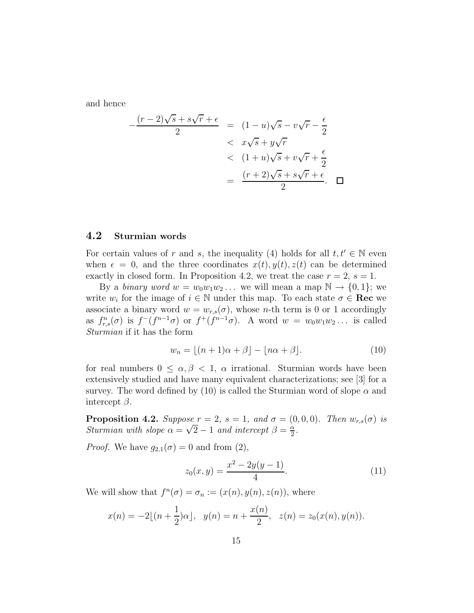and hence

$$
-\frac{(r-2)\sqrt{s}+s\sqrt{r}+\epsilon}{2} = (1-u)\sqrt{s}-v\sqrt{r}-\frac{\epsilon}{2}
$$
  

$$
< x\sqrt{s}+y\sqrt{r}
$$
  

$$
< (1+u)\sqrt{s}+v\sqrt{r}+\frac{\epsilon}{2}
$$
  

$$
= \frac{(r+2)\sqrt{s}+s\sqrt{r}+\epsilon}{2}.
$$

### 4.2 Sturmian words

For certain values of r and s, the inequality (4) holds for all  $t, t' \in \mathbb{N}$  even when  $\epsilon = 0$ , and the three coordinates  $x(t), y(t), z(t)$  can be determined exactly in closed form. In Proposition 4.2, we treat the case  $r = 2$ ,  $s = 1$ .

By a binary word  $w = w_0w_1w_2...$  we will mean a map  $\mathbb{N} \to \{0,1\};$  we write  $w_i$  for the image of  $i \in \mathbb{N}$  under this map. To each state  $\sigma \in \text{Rec}$  we associate a binary word  $w = w_{r,s}(\sigma)$ , whose *n*-th term is 0 or 1 accordingly as  $f_{r,s}^n(\sigma)$  is  $f^-(f^{n-1}\sigma)$  or  $f^+(f^{n-1}\sigma)$ . A word  $w = w_0w_1w_2...$  is called Sturmian if it has the form

$$
w_n = \lfloor (n+1)\alpha + \beta \rfloor - \lfloor n\alpha + \beta \rfloor. \tag{10}
$$

for real numbers  $0 \leq \alpha, \beta < 1$ ,  $\alpha$  irrational. Sturmian words have been extensively studied and have many equivalent characterizations; see [3] for a survey. The word defined by (10) is called the Sturmian word of slope  $\alpha$  and intercept  $\beta$ .

**Proposition 4.2.** Suppose  $r = 2$ ,  $s = 1$ , and  $\sigma = (0, 0, 0)$ . Then  $w_{r,s}(\sigma)$  is Sturmian with slope  $\alpha = \sqrt{2} - 1$  and intercept  $\beta = \frac{\alpha}{2}$  $\frac{\alpha}{2}$ .

*Proof.* We have  $g_{2,1}(\sigma) = 0$  and from (2),

$$
z_0(x,y) = \frac{x^2 - 2y(y-1)}{4}.\tag{11}
$$

We will show that  $f^{n}(\sigma) = \sigma_n := (x(n), y(n), z(n))$ , where

$$
x(n) = -2[(n + \frac{1}{2})\alpha], \quad y(n) = n + \frac{x(n)}{2}, \quad z(n) = z_0(x(n), y(n)).
$$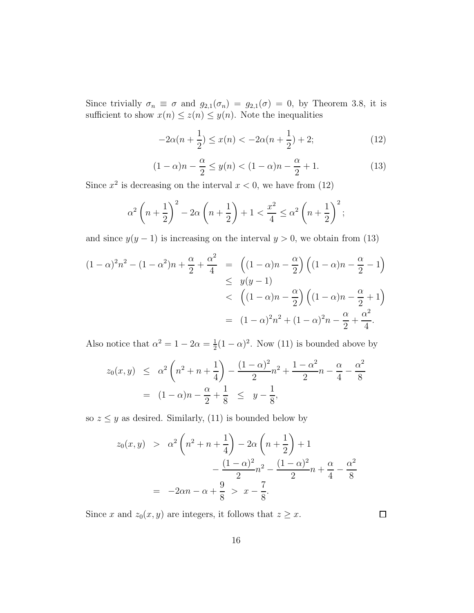Since trivially  $\sigma_n \equiv \sigma$  and  $g_{2,1}(\sigma_n) = g_{2,1}(\sigma) = 0$ , by Theorem 3.8, it is sufficient to show  $x(n) \leq z(n) \leq y(n)$ . Note the inequalities

$$
-2\alpha(n+\frac{1}{2}) \le x(n) < -2\alpha(n+\frac{1}{2}) + 2;
$$
 (12)

$$
(1 - \alpha)n - \frac{\alpha}{2} \le y(n) < (1 - \alpha)n - \frac{\alpha}{2} + 1. \tag{13}
$$

Since  $x^2$  is decreasing on the interval  $x < 0$ , we have from (12)

$$
\alpha^{2}\left(n+\frac{1}{2}\right)^{2}-2\alpha\left(n+\frac{1}{2}\right)+1 < \frac{x^{2}}{4} \leq \alpha^{2}\left(n+\frac{1}{2}\right)^{2};
$$

and since  $y(y-1)$  is increasing on the interval  $y > 0$ , we obtain from (13)

$$
(1 - \alpha)^2 n^2 - (1 - \alpha^2)n + \frac{\alpha}{2} + \frac{\alpha^2}{4} = ((1 - \alpha)n - \frac{\alpha}{2}) ((1 - \alpha)n - \frac{\alpha}{2} - 1)
$$
  

$$
\leq y(y - 1)
$$
  

$$
< ((1 - \alpha)n - \frac{\alpha}{2}) ((1 - \alpha)n - \frac{\alpha}{2} + 1)
$$
  

$$
= (1 - \alpha)^2 n^2 + (1 - \alpha)^2 n - \frac{\alpha}{2} + \frac{\alpha^2}{4}.
$$

Also notice that  $\alpha^2 = 1 - 2\alpha = \frac{1}{2}$  $\frac{1}{2}(1-\alpha)^2$ . Now (11) is bounded above by

$$
z_0(x,y) \leq \alpha^2 \left( n^2 + n + \frac{1}{4} \right) - \frac{(1-\alpha)^2}{2} n^2 + \frac{1-\alpha^2}{2} n - \frac{\alpha}{4} - \frac{\alpha^2}{8}
$$
  
=  $(1-\alpha)n - \frac{\alpha}{2} + \frac{1}{8} \leq y - \frac{1}{8},$ 

so  $z \leq y$  as desired. Similarly, (11) is bounded below by

$$
z_0(x, y) > \alpha^2 \left( n^2 + n + \frac{1}{4} \right) - 2\alpha \left( n + \frac{1}{2} \right) + 1
$$
  
 
$$
- \frac{(1 - \alpha)^2}{2} n^2 - \frac{(1 - \alpha)^2}{2} n + \frac{\alpha}{4} - \frac{\alpha^2}{8}
$$
  

$$
= -2\alpha n - \alpha + \frac{9}{8} > x - \frac{7}{8}.
$$

Since x and  $z_0(x, y)$  are integers, it follows that  $z \geq x$ .

 $\Box$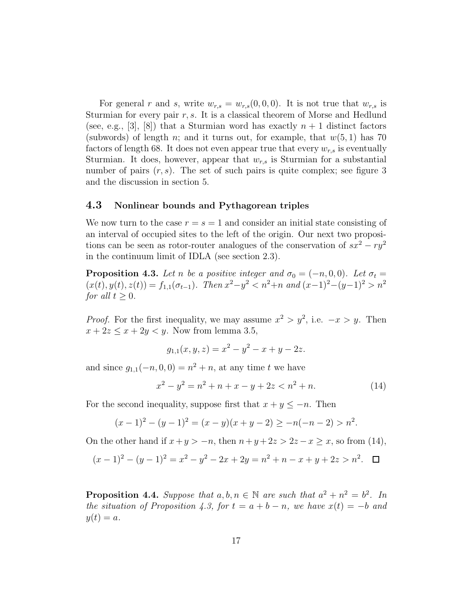For general r and s, write  $w_{r,s} = w_{r,s}(0,0,0)$ . It is not true that  $w_{r,s}$  is Sturmian for every pair  $r, s$ . It is a classical theorem of Morse and Hedlund (see, e.g.,  $|3|, |8|$ ) that a Sturmian word has exactly  $n + 1$  distinct factors (subwords) of length n; and it turns out, for example, that  $w(5, 1)$  has 70 factors of length 68. It does not even appear true that every  $w_{r,s}$  is eventually Sturmian. It does, however, appear that  $w_{r,s}$  is Sturmian for a substantial number of pairs  $(r, s)$ . The set of such pairs is quite complex; see figure 3 and the discussion in section 5.

### 4.3 Nonlinear bounds and Pythagorean triples

We now turn to the case  $r = s = 1$  and consider an initial state consisting of an interval of occupied sites to the left of the origin. Our next two propositions can be seen as rotor-router analogues of the conservation of  $sx^2 - ry^2$ in the continuum limit of IDLA (see section 2.3).

**Proposition 4.3.** Let n be a positive integer and  $\sigma_0 = (-n, 0, 0)$ . Let  $\sigma_t =$  $(x(t), y(t), z(t)) = f_{1,1}(\sigma_{t-1})$ . Then  $x^2 - y^2 < n^2 + n$  and  $(x-1)^2 - (y-1)^2 > n^2$ for all  $t \geq 0$ .

*Proof.* For the first inequality, we may assume  $x^2 > y^2$ , i.e.  $-x > y$ . Then  $x + 2z \leq x + 2y < y$ . Now from lemma 3.5,

$$
g_{1,1}(x, y, z) = x^2 - y^2 - x + y - 2z.
$$

and since  $g_{1,1}(-n,0,0) = n^2 + n$ , at any time t we have

$$
x^{2} - y^{2} = n^{2} + n + x - y + 2z < n^{2} + n. \tag{14}
$$

For the second inequality, suppose first that  $x + y \leq -n$ . Then

$$
(x-1)2 - (y-1)2 = (x - y)(x + y - 2) \ge -n(-n - 2) > n2.
$$

On the other hand if  $x+y > -n$ , then  $n+y+2z > 2z-x \ge x$ , so from (14),

$$
(x-1)2 - (y-1)2 = x2 - y2 - 2x + 2y = n2 + n - x + y + 2z > n2.
$$

**Proposition 4.4.** Suppose that  $a, b, n \in \mathbb{N}$  are such that  $a^2 + n^2 = b^2$ . In the situation of Proposition 4.3, for  $t = a + b - n$ , we have  $x(t) = -b$  and  $y(t) = a.$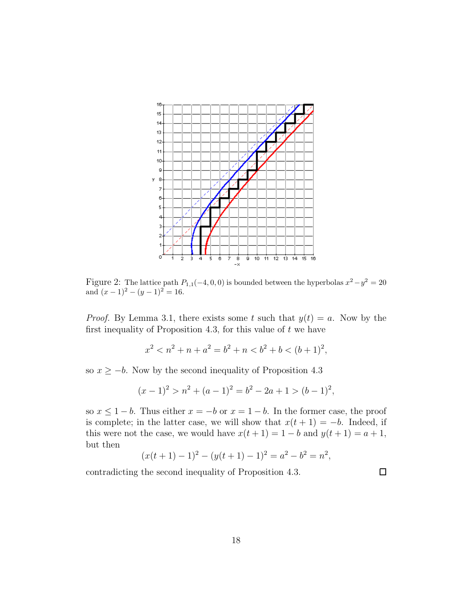

Figure 2: The lattice path  $P_{1,1}(-4, 0, 0)$  is bounded between the hyperbolas  $x^2 - y^2 = 20$ and  $(x-1)^2 - (y-1)^2 = 16$ .

*Proof.* By Lemma 3.1, there exists some t such that  $y(t) = a$ . Now by the first inequality of Proposition 4.3, for this value of  $t$  we have

$$
x^2 < n^2 + n + a^2 = b^2 + n < b^2 + b < (b+1)^2,
$$

so  $x \ge -b$ . Now by the second inequality of Proposition 4.3

$$
(x-1)2 > n2 + (a-1)2 = b2 - 2a + 1 > (b-1)2,
$$

so  $x \leq 1 - b$ . Thus either  $x = -b$  or  $x = 1 - b$ . In the former case, the proof is complete; in the latter case, we will show that  $x(t + 1) = -b$ . Indeed, if this were not the case, we would have  $x(t + 1) = 1 - b$  and  $y(t + 1) = a + 1$ , but then

$$
(x(t+1)-1)^2 - (y(t+1)-1)^2 = a^2 - b^2 = n^2,
$$

contradicting the second inequality of Proposition 4.3.

 $\Box$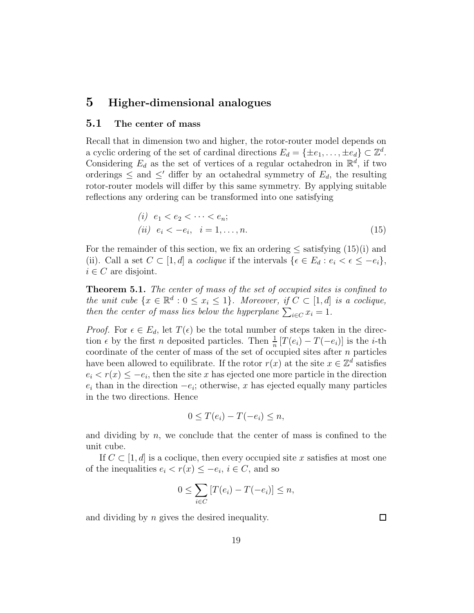## 5 Higher-dimensional analogues

### 5.1 The center of mass

Recall that in dimension two and higher, the rotor-router model depends on a cyclic ordering of the set of cardinal directions  $E_d = \{\pm e_1, \ldots, \pm e_d\} \subset \mathbb{Z}^d$ . Considering  $E_d$  as the set of vertices of a regular octahedron in  $\mathbb{R}^d$ , if two orderings  $\leq$  and  $\leq'$  differ by an octahedral symmetry of  $E_d$ , the resulting rotor-router models will differ by this same symmetry. By applying suitable reflections any ordering can be transformed into one satisfying

$$
(i) \ e_1 < e_2 < \cdots < e_n; \n(ii) \ e_i < -e_i, \ i = 1, \ldots, n. \tag{15}
$$

For the remainder of this section, we fix an ordering  $\leq$  satisfying  $(15)(i)$  and (ii). Call a set  $C \subset [1, d]$  a *coclique* if the intervals  $\{\epsilon \in E_d : e_i < \epsilon \leq -e_i\},\$  $i \in C$  are disjoint.

Theorem 5.1. The center of mass of the set of occupied sites is confined to the unit cube  $\{x \in \mathbb{R}^d : 0 \le x_i \le 1\}$ . Moreover, if  $C \subset [1, d]$  is a coclique, then the center of mass lies below the hyperplane  $\sum_{i \in C} x_i = 1$ .

*Proof.* For  $\epsilon \in E_d$ , let  $T(\epsilon)$  be the total number of steps taken in the direction  $\epsilon$  by the first *n* deposited particles. Then  $\frac{1}{n}[T(e_i) - T(-e_i)]$  is the *i*-th coordinate of the center of mass of the set of occupied sites after  $n$  particles have been allowed to equilibrate. If the rotor  $r(x)$  at the site  $x \in \mathbb{Z}^d$  satisfies  $e_i < r(x) \leq -e_i$ , then the site x has ejected one more particle in the direction  $e_i$  than in the direction  $-e_i$ ; otherwise, x has ejected equally many particles in the two directions. Hence

$$
0 \leq T(e_i) - T(-e_i) \leq n,
$$

and dividing by  $n$ , we conclude that the center of mass is confined to the unit cube.

If  $C \subset [1, d]$  is a coclique, then every occupied site x satisfies at most one of the inequalities  $e_i < r(x) \leq -e_i, i \in C$ , and so

$$
0 \leq \sum_{i \in C} [T(e_i) - T(-e_i)] \leq n,
$$

and dividing by n gives the desired inequality.

 $\Box$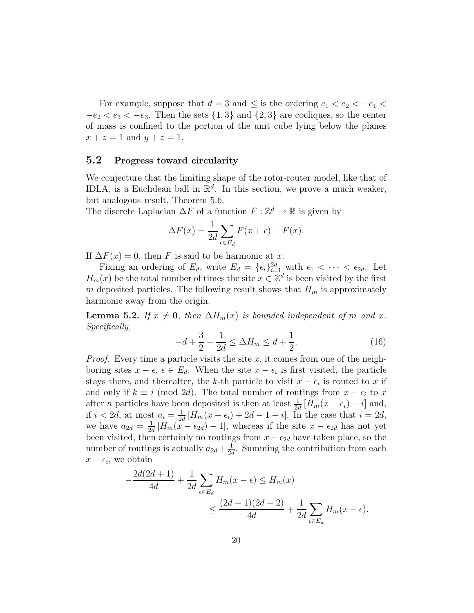For example, suppose that  $d=3$  and  $\leq$  is the ordering  $e_1 < e_2 < -e_1 <$  $-e_2 < e_3 < -e_3$ . Then the sets  $\{1,3\}$  and  $\{2,3\}$  are cocliques, so the center of mass is confined to the portion of the unit cube lying below the planes  $x + z = 1$  and  $y + z = 1$ .

#### 5.2 Progress toward circularity

We conjecture that the limiting shape of the rotor-router model, like that of IDLA, is a Euclidean ball in  $\mathbb{R}^d$ . In this section, we prove a much weaker, but analogous result, Theorem 5.6.

The discrete Laplacian  $\Delta F$  of a function  $F : \mathbb{Z}^d \to \mathbb{R}$  is given by

$$
\Delta F(x) = \frac{1}{2d} \sum_{\epsilon \in E_d} F(x + \epsilon) - F(x).
$$

If  $\Delta F(x) = 0$ , then F is said to be harmonic at x.

Fixing an ordering of  $E_d$ , write  $E_d = {\epsilon_i}_{i=1}^{2d}$  with  $\epsilon_1 < \cdots < \epsilon_{2d}$ . Let  $H_m(x)$  be the total number of times the site  $x \in \mathbb{Z}^d$  is been visited by the first m deposited particles. The following result shows that  $H_m$  is approximately harmonic away from the origin.

**Lemma 5.2.** If  $x \neq 0$ , then  $\Delta H_m(x)$  is bounded independent of m and x. Specifically,

$$
-d + \frac{3}{2} - \frac{1}{2d} \le \Delta H_m \le d + \frac{1}{2}.\tag{16}
$$

*Proof.* Every time a particle visits the site x, it comes from one of the neighboring sites  $x - \epsilon$ ,  $\epsilon \in E_d$ . When the site  $x - \epsilon_i$  is first visited, the particle stays there, and thereafter, the k-th particle to visit  $x - \epsilon_i$  is routed to x if and only if  $k \equiv i \pmod{2d}$ . The total number of routings from  $x - \epsilon_i$  to x after *n* particles have been deposited is then at least  $\frac{1}{2d} [H_m(x - \epsilon_i) - i]$  and, if  $i < 2d$ , at most  $a_i = \frac{1}{2d}$  $\frac{1}{2d} [H_m(x - \epsilon_i) + 2d - 1 - i].$  In the case that  $i = 2d$ , we have  $a_{2d} = \frac{1}{2d}$  $\frac{1}{2d}[H_m(x-\epsilon_{2d})-1]$ , whereas if the site  $x-\epsilon_{2d}$  has not yet been visited, then certainly no routings from  $x - \epsilon_{2d}$  have taken place, so the number of routings is actually  $a_{2d} + \frac{1}{2d}$  $\frac{1}{2d}$ . Summing the contribution from each  $x - \epsilon_i$ , we obtain

$$
-\frac{2d(2d+1)}{4d} + \frac{1}{2d} \sum_{\epsilon \in E_d} H_m(x - \epsilon) \le H_m(x)
$$
  

$$
\le \frac{(2d-1)(2d-2)}{4d} + \frac{1}{2d} \sum_{\epsilon \in E_d} H_m(x - \epsilon).
$$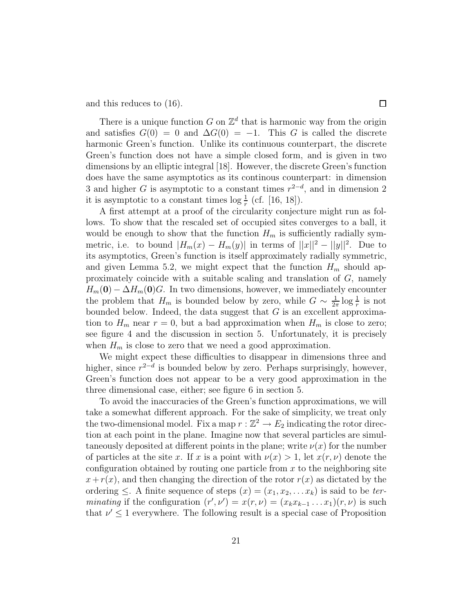and this reduces to (16).

There is a unique function G on  $\mathbb{Z}^d$  that is harmonic way from the origin and satisfies  $G(0) = 0$  and  $\Delta G(0) = -1$ . This G is called the discrete harmonic Green's function. Unlike its continuous counterpart, the discrete Green's function does not have a simple closed form, and is given in two dimensions by an elliptic integral [18]. However, the discrete Green's function does have the same asymptotics as its continous counterpart: in dimension 3 and higher G is asymptotic to a constant times  $r^{2-d}$ , and in dimension 2 it is asymptotic to a constant times  $\log \frac{1}{r}$  (cf. [16, 18]).

A first attempt at a proof of the circularity conjecture might run as follows. To show that the rescaled set of occupied sites converges to a ball, it would be enough to show that the function  $H_m$  is sufficiently radially symmetric, i.e. to bound  $|H_m(x) - H_m(y)|$  in terms of  $||x||^2 - ||y||^2$ . Due to its asymptotics, Green's function is itself approximately radially symmetric, and given Lemma 5.2, we might expect that the function  $H_m$  should approximately coincide with a suitable scaling and translation of  $G$ , namely  $H_m(\mathbf{0}) - \Delta H_m(\mathbf{0})G$ . In two dimensions, however, we immediately encounter the problem that  $H_m$  is bounded below by zero, while  $G \sim \frac{1}{27}$  $\frac{1}{2\pi} \log \frac{1}{r}$  is not bounded below. Indeed, the data suggest that  $G$  is an excellent approximation to  $H_m$  near  $r = 0$ , but a bad approximation when  $H_m$  is close to zero; see figure 4 and the discussion in section 5. Unfortunately, it is precisely when  $H_m$  is close to zero that we need a good approximation.

We might expect these difficulties to disappear in dimensions three and higher, since  $r^{2-d}$  is bounded below by zero. Perhaps surprisingly, however, Green's function does not appear to be a very good approximation in the three dimensional case, either; see figure 6 in section 5.

To avoid the inaccuracies of the Green's function approximations, we will take a somewhat different approach. For the sake of simplicity, we treat only the two-dimensional model. Fix a map  $r : \mathbb{Z}^2 \to E_2$  indicating the rotor direction at each point in the plane. Imagine now that several particles are simultaneously deposited at different points in the plane; write  $\nu(x)$  for the number of particles at the site x. If x is a point with  $\nu(x) > 1$ , let  $x(r, \nu)$  denote the configuration obtained by routing one particle from  $x$  to the neighboring site  $x+r(x)$ , and then changing the direction of the rotor  $r(x)$  as dictated by the ordering  $\leq$ . A finite sequence of steps  $(x) = (x_1, x_2, \ldots, x_k)$  is said to be terminating if the configuration  $(r', \nu') = x(r, \nu) = (x_k x_{k-1} \dots x_1)(r, \nu)$  is such that  $\nu' \leq 1$  everywhere. The following result is a special case of Proposition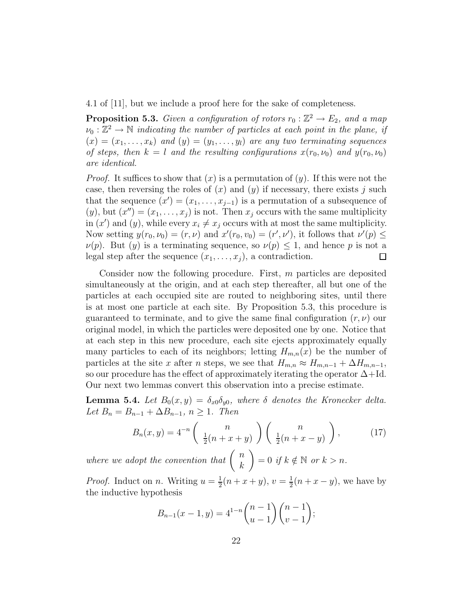4.1 of [11], but we include a proof here for the sake of completeness.

**Proposition 5.3.** Given a configuration of rotors  $r_0 : \mathbb{Z}^2 \to E_2$ , and a map  $\nu_0: \mathbb{Z}^2 \to \mathbb{N}$  indicating the number of particles at each point in the plane, if  $(x) = (x_1, \ldots, x_k)$  and  $(y) = (y_1, \ldots, y_l)$  are any two terminating sequences of steps, then  $k = l$  and the resulting configurations  $x(r_0, \nu_0)$  and  $y(r_0, \nu_0)$ are identical.

*Proof.* It suffices to show that  $(x)$  is a permutation of  $(y)$ . If this were not the case, then reversing the roles of  $(x)$  and  $(y)$  if necessary, there exists j such that the sequence  $(x') = (x_1, \ldots, x_{j-1})$  is a permutation of a subsequence of  $(y)$ , but  $(x'') = (x_1, \ldots, x_j)$  is not. Then  $x_j$  occurs with the same multiplicity in  $(x')$  and  $(y)$ , while every  $x_i \neq x_j$  occurs with at most the same multiplicity. Now setting  $y(r_0, \nu_0) = (r, \nu)$  and  $x'(r_0, v_0) = (r', \nu')$ , it follows that  $\nu'(p) \le$  $\nu(p)$ . But  $(y)$  is a terminating sequence, so  $\nu(p) \leq 1$ , and hence p is not a legal step after the sequence  $(x_1, \ldots, x_i)$ , a contradiction.  $\Box$ 

Consider now the following procedure. First,  $m$  particles are deposited simultaneously at the origin, and at each step thereafter, all but one of the particles at each occupied site are routed to neighboring sites, until there is at most one particle at each site. By Proposition 5.3, this procedure is guaranteed to terminate, and to give the same final configuration  $(r, \nu)$  our original model, in which the particles were deposited one by one. Notice that at each step in this new procedure, each site ejects approximately equally many particles to each of its neighbors; letting  $H_{m,n}(x)$  be the number of particles at the site x after n steps, we see that  $H_{m,n} \approx H_{m,n-1} + \Delta H_{m,n-1}$ , so our procedure has the effect of approximately iterating the operator  $\Delta + Id$ . Our next two lemmas convert this observation into a precise estimate.

**Lemma 5.4.** Let  $B_0(x, y) = \delta_{x0}\delta_{y0}$ , where  $\delta$  denotes the Kronecker delta. Let  $B_n = B_{n-1} + \Delta B_{n-1}, n \geq 1$ . Then

$$
B_n(x,y) = 4^{-n} \left( \begin{array}{c} n \\ \frac{1}{2}(n+x+y) \end{array} \right) \left( \begin{array}{c} n \\ \frac{1}{2}(n+x-y) \end{array} \right), \tag{17}
$$

where we adopt the convention that  $\begin{pmatrix} n \\ n \end{pmatrix}$ k  $= 0$  if  $k \notin \mathbb{N}$  or  $k > n$ .

*Proof.* Induct on *n*. Writing  $u = \frac{1}{2}$  $\frac{1}{2}(n+x+y), v=\frac{1}{2}$  $\frac{1}{2}(n+x-y)$ , we have by the inductive hypothesis

$$
B_{n-1}(x-1,y) = 4^{1-n} \binom{n-1}{u-1} \binom{n-1}{v-1};
$$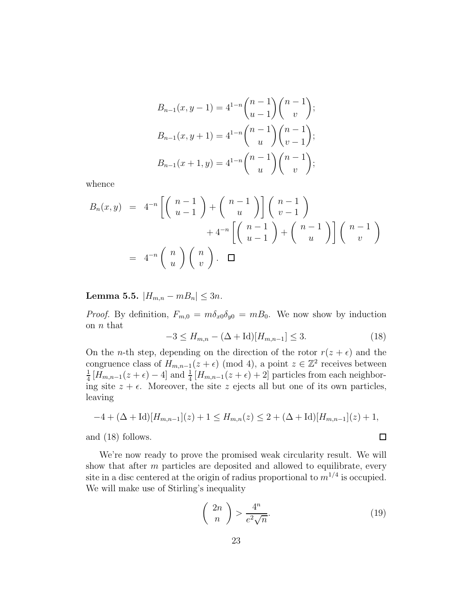$$
B_{n-1}(x, y-1) = 4^{1-n} {n-1 \choose u-1} {n-1 \choose v};
$$
  
\n
$$
B_{n-1}(x, y+1) = 4^{1-n} {n-1 \choose u} {n-1 \choose v-1};
$$
  
\n
$$
B_{n-1}(x+1, y) = 4^{1-n} {n-1 \choose u} {n-1 \choose v};
$$

whence

$$
B_n(x,y) = 4^{-n} \left[ \binom{n-1}{u-1} + \binom{n-1}{u} \right] \binom{n-1}{v-1} + 4^{-n} \left[ \binom{n-1}{u-1} + \binom{n-1}{u} \right] \binom{n-1}{v}
$$
  
=  $4^{-n} \binom{n}{u} \binom{n}{v}.$ 

Lemma 5.5.  $|H_{m,n} - mB_n|$  ≤ 3n.

*Proof.* By definition,  $F_{m,0} = m\delta_{x0}\delta_{y0} = mB_0$ . We now show by induction on  $n$  that

$$
-3 \le H_{m,n} - (\Delta + \text{Id})[H_{m,n-1}] \le 3. \tag{18}
$$

On the *n*-th step, depending on the direction of the rotor  $r(z + \epsilon)$  and the congruence class of  $H_{m,n-1}(z+\epsilon) \pmod{4}$ , a point  $z \in \mathbb{Z}^2$  receives between 1  $\frac{1}{4}[H_{m,n-1}(z+\epsilon)-4]$  and  $\frac{1}{4}[H_{m,n-1}(z+\epsilon)+2]$  particles from each neighboring site  $z + \epsilon$ . Moreover, the site z ejects all but one of its own particles, leaving

$$
-4 + (\Delta + Id)[H_{m,n-1}](z) + 1 \le H_{m,n}(z) \le 2 + (\Delta + Id)[H_{m,n-1}](z) + 1,
$$
  
and (18) follows.

and (18) follows.

We're now ready to prove the promised weak circularity result. We will show that after  $m$  particles are deposited and allowed to equilibrate, every site in a disc centered at the origin of radius proportional to  $m^{1/4}$  is occupied. We will make use of Stirling's inequality

$$
\left(\begin{array}{c} 2n \\ n \end{array}\right) > \frac{4^n}{e^2\sqrt{n}}.\tag{19}
$$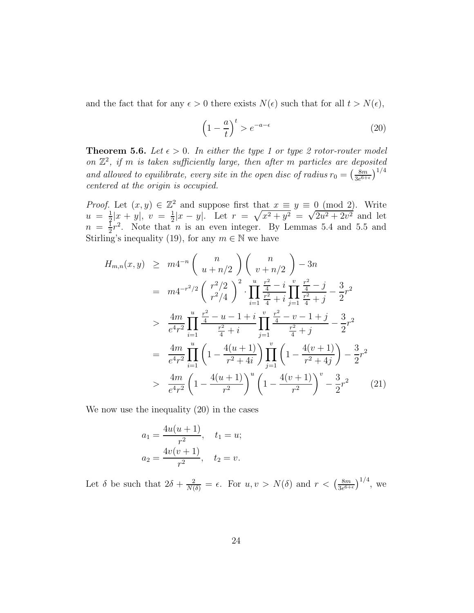and the fact that for any  $\epsilon > 0$  there exists  $N(\epsilon)$  such that for all  $t > N(\epsilon)$ ,

$$
\left(1 - \frac{a}{t}\right)^t > e^{-a - \epsilon} \tag{20}
$$

**Theorem 5.6.** Let  $\epsilon > 0$ . In either the type 1 or type 2 rotor-router model on  $\mathbb{Z}^2$ , if m is taken sufficiently large, then after m particles are deposited and allowed to equilibrate, every site in the open disc of radius  $r_0 = \frac{8m}{3e^6}$  $\frac{8m}{3e^{6+\epsilon}}\big)^{1/4}$ centered at the origin is occupied.

*Proof.* Let  $(x, y) \in \mathbb{Z}^2$  and suppose first that  $x \equiv y \equiv 0 \pmod{2}$ . Write  $u = \frac{1}{2}$  $\frac{1}{2}|x+y|, v = \frac{1}{2}$  $\frac{1}{2}|x-y|$ . Let  $r = \sqrt{x^2 + y^2} = \sqrt{2u^2 + 2v^2}$  and let  $n = \frac{1}{2}$  $\frac{1}{2}r^2$ . Note that *n* is an even integer. By Lemmas 5.4 and 5.5 and Stirling's inequality (19), for any  $m \in \mathbb{N}$  we have

$$
H_{m,n}(x,y) \geq m4^{-n} \left( \frac{n}{u+n/2} \right) \left( \frac{n}{v+n/2} \right) - 3n
$$
  
\n
$$
= m4^{-r^2/2} \left( \frac{r^2/2}{r^2/4} \right)^2 \cdot \prod_{i=1}^u \frac{\frac{r^2}{4} - i}{\frac{r^2}{4} + i} \prod_{j=1}^v \frac{\frac{r^2}{4} - j}{\frac{r^2}{4} + j} - \frac{3}{2}r^2
$$
  
\n
$$
> \frac{4m}{e^4r^2} \prod_{i=1}^u \frac{\frac{r^2}{4} - u - 1 + i}{\frac{r^2}{4} + i} \prod_{j=1}^v \frac{\frac{r^2}{4} - v - 1 + j}{\frac{r^2}{4} + j} - \frac{3}{2}r^2
$$
  
\n
$$
= \frac{4m}{e^4r^2} \prod_{i=1}^u \left( 1 - \frac{4(u+1)}{r^2 + 4i} \right) \prod_{j=1}^v \left( 1 - \frac{4(v+1)}{r^2 + 4j} \right) - \frac{3}{2}r^2
$$
  
\n
$$
> \frac{4m}{e^4r^2} \left( 1 - \frac{4(u+1)}{r^2} \right)^u \left( 1 - \frac{4(v+1)}{r^2} \right)^v - \frac{3}{2}r^2
$$
 (21)

We now use the inequality (20) in the cases

$$
a_1 = \frac{4u(u+1)}{r^2}, \quad t_1 = u;
$$
  

$$
a_2 = \frac{4v(v+1)}{r^2}, \quad t_2 = v.
$$

Let  $\delta$  be such that  $2\delta + \frac{2}{N(\delta)} = \epsilon$ . For  $u, v > N(\delta)$  and  $r < (\frac{8m}{3e^{\delta+1}})$  $\frac{8m}{3e^{6+\epsilon}}$  $\Big)^{1/4}$ , we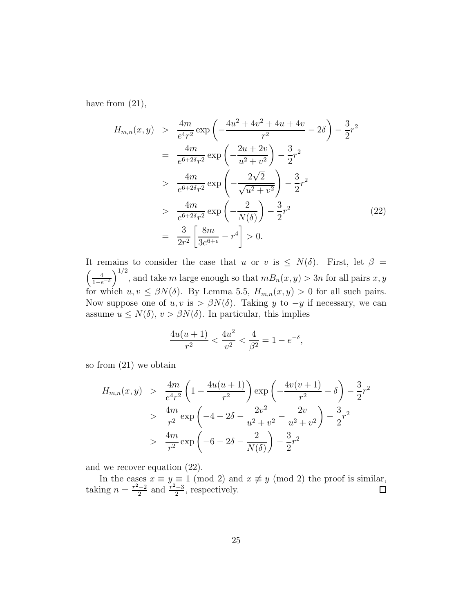have from  $(21)$ ,

$$
H_{m,n}(x,y) > \frac{4m}{e^4r^2} \exp\left(-\frac{4u^2 + 4v^2 + 4u + 4v}{r^2} - 2\delta\right) - \frac{3}{2}r^2
$$
  
\n
$$
= \frac{4m}{e^{6+2\delta}r^2} \exp\left(-\frac{2u + 2v}{u^2 + v^2}\right) - \frac{3}{2}r^2
$$
  
\n
$$
> \frac{4m}{e^{6+2\delta}r^2} \exp\left(-\frac{2\sqrt{2}}{\sqrt{u^2 + v^2}}\right) - \frac{3}{2}r^2
$$
  
\n
$$
> \frac{4m}{e^{6+2\delta}r^2} \exp\left(-\frac{2}{N(\delta)}\right) - \frac{3}{2}r^2
$$
  
\n
$$
= \frac{3}{2r^2} \left[\frac{8m}{3e^{6+\epsilon}} - r^4\right] > 0.
$$
 (22)

It remains to consider the case that u or v is  $\leq N(\delta)$ . First, let  $\beta =$  $\left(\frac{4}{1-e^{-\delta}}\right)$  $\int_{0}^{1/2}$ , and take m large enough so that  $mB_n(x, y) > 3n$  for all pairs x, y for which  $u, v \leq \beta N(\delta)$ . By Lemma 5.5,  $H_{m,n}(x, y) > 0$  for all such pairs. Now suppose one of  $u, v$  is >  $\beta N(\delta)$ . Taking y to  $-y$  if necessary, we can assume  $u \leq N(\delta)$ ,  $v > \beta N(\delta)$ . In particular, this implies

$$
\frac{4u(u+1)}{r^2} < \frac{4u^2}{v^2} < \frac{4}{\beta^2} = 1 - e^{-\delta},
$$

so from (21) we obtain

$$
H_{m,n}(x,y) > \frac{4m}{e^4r^2} \left(1 - \frac{4u(u+1)}{r^2}\right) \exp\left(-\frac{4v(v+1)}{r^2} - \delta\right) - \frac{3}{2}r^2
$$
  
> 
$$
\frac{4m}{r^2} \exp\left(-4 - 2\delta - \frac{2v^2}{u^2 + v^2} - \frac{2v}{u^2 + v^2}\right) - \frac{3}{2}r^2
$$
  
> 
$$
\frac{4m}{r^2} \exp\left(-6 - 2\delta - \frac{2}{N(\delta)}\right) - \frac{3}{2}r^2
$$

and we recover equation (22).

In the cases  $x \equiv y \equiv 1 \pmod{2}$  and  $x \not\equiv y \pmod{2}$  the proof is similar, taking  $n = \frac{r^2 - 2}{2}$  and  $\frac{r^2 - 3}{2}$ , respectively.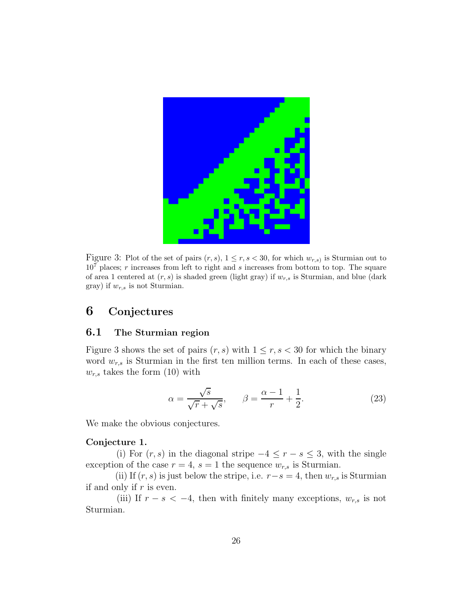

Figure 3: Plot of the set of pairs  $(r, s)$ ,  $1 \le r, s < 30$ , for which  $w_{r,s}$  is Sturmian out to  $10<sup>7</sup>$  places; r increases from left to right and s increases from bottom to top. The square of area 1 centered at  $(r, s)$  is shaded green (light gray) if  $w_{r, s}$  is Sturmian, and blue (dark gray) if  $w_{r,s}$  is not Sturmian.

## 6 Conjectures

### 6.1 The Sturmian region

Figure 3 shows the set of pairs  $(r, s)$  with  $1 \le r, s < 30$  for which the binary word  $w_{r,s}$  is Sturmian in the first ten million terms. In each of these cases,  $w_{r,s}$  takes the form (10) with

$$
\alpha = \frac{\sqrt{s}}{\sqrt{r} + \sqrt{s}}, \qquad \beta = \frac{\alpha - 1}{r} + \frac{1}{2}.
$$
 (23)

We make the obvious conjectures.

### Conjecture 1.

(i) For  $(r, s)$  in the diagonal stripe  $-4 \leq r - s \leq 3$ , with the single exception of the case  $r = 4$ ,  $s = 1$  the sequence  $w_{r,s}$  is Sturmian.

(ii) If  $(r, s)$  is just below the stripe, i.e.  $r-s=4$ , then  $w_{r,s}$  is Sturmian if and only if  $r$  is even.

(iii) If  $r - s < -4$ , then with finitely many exceptions,  $w_{r,s}$  is not Sturmian.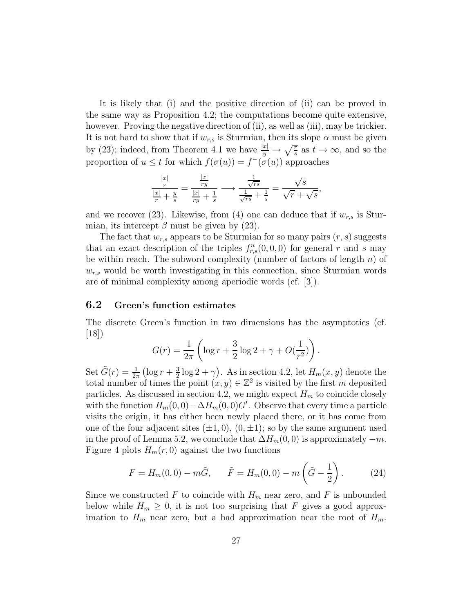It is likely that (i) and the positive direction of (ii) can be proved in the same way as Proposition 4.2; the computations become quite extensive, however. Proving the negative direction of (ii), as well as (iii), may be trickier. It is not hard to show that if  $w_{r,s}$  is Sturmian, then its slope  $\alpha$  must be given by (23); indeed, from Theorem 4.1 we have  $\frac{|x|}{y} \to \sqrt{\frac{r}{s}}$  as  $t \to \infty$ , and so the proportion of  $u \leq t$  for which  $f(\sigma(u)) = f^{-}(\sigma(u))$  approaches

$$
\frac{\frac{|x|}{r}}{\frac{|x|}{r} + \frac{y}{s}} = \frac{\frac{|x|}{ry}}{\frac{|x|}{ry} + \frac{1}{s}} \longrightarrow \frac{\frac{1}{\sqrt{rs}}}{\frac{1}{\sqrt{rs}} + \frac{1}{s}} = \frac{\sqrt{s}}{\sqrt{r} + \sqrt{s}},
$$

and we recover (23). Likewise, from (4) one can deduce that if  $w_{r,s}$  is Sturmian, its intercept  $\beta$  must be given by (23).

The fact that  $w_{r,s}$  appears to be Sturmian for so many pairs  $(r, s)$  suggests that an exact description of the triples  $f_{r,s}^n(0,0,0)$  for general r and s may be within reach. The subword complexity (number of factors of length  $n$ ) of  $w_{r,s}$  would be worth investigating in this connection, since Sturmian words are of minimal complexity among aperiodic words (cf. [3]).

#### 6.2 Green's function estimates

The discrete Green's function in two dimensions has the asymptotics (cf.  $|18|)$ 

$$
G(r) = \frac{1}{2\pi} \left( \log r + \frac{3}{2} \log 2 + \gamma + O(\frac{1}{r^2}) \right).
$$

Set  $\tilde{G}(r) = \frac{1}{2\pi} \left( \log r + \frac{3}{2} \right)$  $\frac{3}{2}\log 2 + \gamma$ . As in section 4.2, let  $H_m(x, y)$  denote the total number of times the point  $(x, y) \in \mathbb{Z}^2$  is visited by the first m deposited particles. As discussed in section 4.2, we might expect  $H_m$  to coincide closely with the function  $H_m(0,0) - \Delta H_m(0,0)G'$ . Observe that every time a particle visits the origin, it has either been newly placed there, or it has come from one of the four adjacent sites  $(\pm 1, 0), (0, \pm 1)$ ; so by the same argument used in the proof of Lemma 5.2, we conclude that  $\Delta H_m(0,0)$  is approximately  $-m$ . Figure 4 plots  $H_m(r, 0)$  against the two functions

$$
F = H_m(0,0) - m\tilde{G}, \qquad \tilde{F} = H_m(0,0) - m\left(\tilde{G} - \frac{1}{2}\right). \tag{24}
$$

Since we constructed F to coincide with  $H_m$  near zero, and F is unbounded below while  $H_m \geq 0$ , it is not too surprising that F gives a good approximation to  $H_m$  near zero, but a bad approximation near the root of  $H_m$ .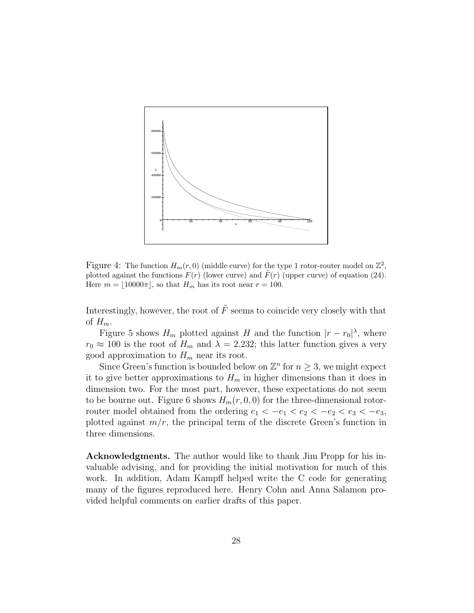

Figure 4: The function  $H_m(r,0)$  (middle curve) for the type 1 rotor-router model on  $\mathbb{Z}^2$ , plotted against the functions  $F(r)$  (lower curve) and  $\overline{F}(r)$  (upper curve) of equation (24). Here  $m = |10000\pi|$ , so that  $H_m$  has its root near  $r = 100$ .

Interestingly, however, the root of  $\tilde{F}$  seems to coincide very closely with that of  $H_m$ .

Figure 5 shows  $H_m$  plotted against H and the function  $|r - r_0|^{\lambda}$ , where  $r_0 \approx 100$  is the root of  $H_m$  and  $\lambda = 2.232$ ; this latter function gives a very good approximation to  $H_m$  near its root.

Since Green's function is bounded below on  $\mathbb{Z}^n$  for  $n \geq 3$ , we might expect it to give better approximations to  $H_m$  in higher dimensions than it does in dimension two. For the most part, however, these expectations do not seem to be bourne out. Figure 6 shows  $H_m(r, 0, 0)$  for the three-dimensional rotorrouter model obtained from the ordering  $e_1 < -e_1 < e_2 < -e_2 < e_3 < -e_3$ , plotted against  $m/r$ , the principal term of the discrete Green's function in three dimensions.

Acknowledgments. The author would like to thank Jim Propp for his invaluable advising, and for providing the initial motivation for much of this work. In addition, Adam Kampff helped write the C code for generating many of the figures reproduced here. Henry Cohn and Anna Salamon provided helpful comments on earlier drafts of this paper.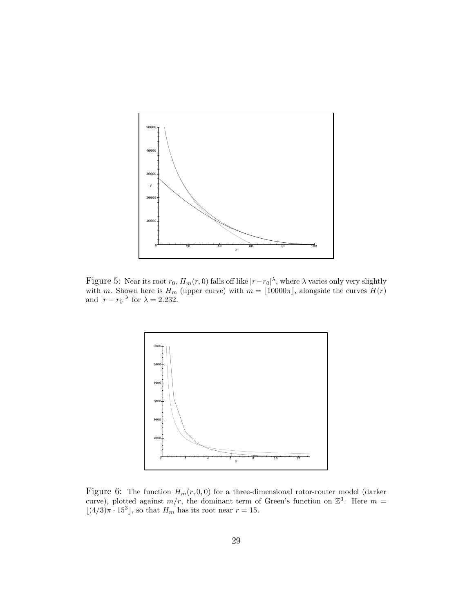

Figure 5: Near its root  $r_0$ ,  $H_m(r, 0)$  falls off like  $|r-r_0|^{\lambda}$ , where  $\lambda$  varies only very slightly with m. Shown here is  $H_m$  (upper curve) with  $m = \lfloor 10000\pi \rfloor$ , alongside the curves  $H(r)$ and  $|r - r_0|^\lambda$  for  $\lambda = 2.232$ .



Figure 6: The function  $H_m(r, 0, 0)$  for a three-dimensional rotor-router model (darker curve), plotted against  $m/r$ , the dominant term of Green's function on  $\mathbb{Z}^3$ . Here  $m =$  $\lfloor (4/3)\pi \cdot 15^3 \rfloor$ , so that  $H_m$  has its root near  $r = 15$ .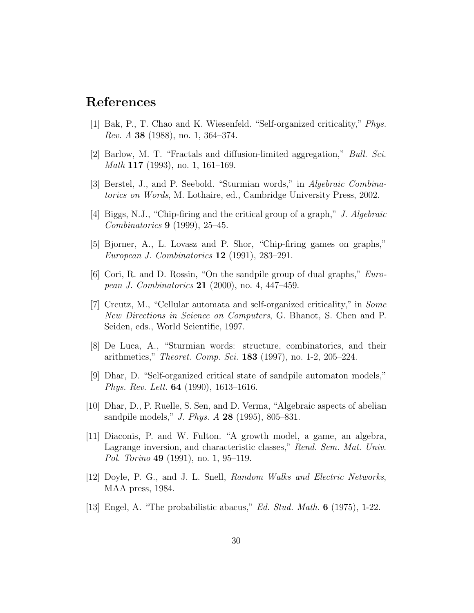## References

- [1] Bak, P., T. Chao and K. Wiesenfeld. "Self-organized criticality," Phys. Rev. A 38 (1988), no. 1, 364–374.
- [2] Barlow, M. T. "Fractals and diffusion-limited aggregation," Bull. Sci. Math 117 (1993), no. 1, 161–169.
- [3] Berstel, J., and P. Seebold. "Sturmian words," in Algebraic Combinatorics on Words, M. Lothaire, ed., Cambridge University Press, 2002.
- [4] Biggs, N.J., "Chip-firing and the critical group of a graph," J. Algebraic Combinatorics 9 (1999), 25–45.
- [5] Bjorner, A., L. Lovasz and P. Shor, "Chip-firing games on graphs," European J. Combinatorics 12 (1991), 283–291.
- [6] Cori, R. and D. Rossin, "On the sandpile group of dual graphs," European J. Combinatorics 21 (2000), no. 4, 447–459.
- [7] Creutz, M., "Cellular automata and self-organized criticality," in Some New Directions in Science on Computers, G. Bhanot, S. Chen and P. Seiden, eds., World Scientific, 1997.
- [8] De Luca, A., "Sturmian words: structure, combinatorics, and their arithmetics," Theoret. Comp. Sci. 183 (1997), no. 1-2, 205–224.
- [9] Dhar, D. "Self-organized critical state of sandpile automaton models," Phys. Rev. Lett. 64 (1990), 1613–1616.
- [10] Dhar, D., P. Ruelle, S. Sen, and D. Verma, "Algebraic aspects of abelian sandpile models," J. Phys. A 28 (1995), 805–831.
- [11] Diaconis, P. and W. Fulton. "A growth model, a game, an algebra, Lagrange inversion, and characteristic classes," Rend. Sem. Mat. Univ. Pol. Torino **49** (1991), no. 1, 95–119.
- [12] Doyle, P. G., and J. L. Snell, Random Walks and Electric Networks, MAA press, 1984.
- [13] Engel, A. "The probabilistic abacus," Ed. Stud. Math. 6 (1975), 1-22.